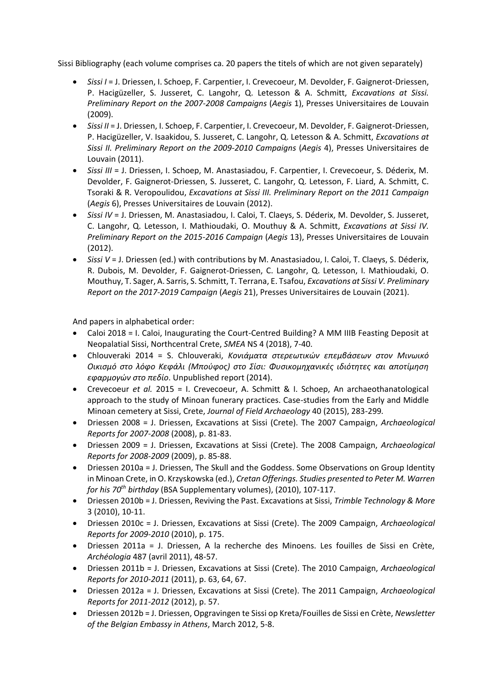Sissi Bibliography (each volume comprises ca. 20 papers the titels of which are not given separately)

- *Sissi I* = J. Driessen, I. Schoep, F. Carpentier, I. Crevecoeur, M. Devolder, F. Gaignerot-Driessen, P. Hacigüzeller, S. Jusseret, C. Langohr, Q. Letesson & A. Schmitt, *Excavations at Sissi. Preliminary Report on the 2007-2008 Campaigns* (*Aegis* 1), Presses Universitaires de Louvain (2009).
- *Sissi II* = J. Driessen, I. Schoep, F. Carpentier, I. Crevecoeur, M. Devolder, F. Gaignerot-Driessen, P. Hacigüzeller, V. Isaakidou, S. Jusseret, C. Langohr, Q. Letesson & A. Schmitt, *Excavations at Sissi II. Preliminary Report on the 2009-2010 Campaigns* (*Aegis* 4), Presses Universitaires de Louvain (2011).
- *Sissi III* = J. Driessen, I. Schoep, M. Anastasiadou, F. Carpentier, I. Crevecoeur, S. Déderix, M. Devolder, F. Gaignerot-Driessen, S. Jusseret, C. Langohr, Q. Letesson, F. Liard, A. Schmitt, C. Tsoraki & R. Veropoulidou, *Excavations at Sissi III. Preliminary Report on the 2011 Campaign* (*Aegis* 6), Presses Universitaires de Louvain (2012).
- *Sissi IV* = J. Driessen, M. Anastasiadou, I. Caloi, T. Claeys, S. Déderix, M. Devolder, S. Jusseret, C. Langohr, Q. Letesson, I. Mathioudaki, O. Mouthuy & A. Schmitt, *Excavations at Sissi IV. Preliminary Report on the 2015-2016 Campaign* (*Aegis* 13), Presses Universitaires de Louvain (2012).
- *Sissi V* = J. Driessen (ed.) with contributions by M. Anastasiadou, I. Caloi, T. Claeys, S. Déderix, R. Dubois, M. Devolder, F. Gaignerot-Driessen, C. Langohr, Q. Letesson, I. Mathioudaki, O. Mouthuy, T. Sager, A. Sarris, S. Schmitt, T. Terrana, E. Tsafou, *Excavations at Sissi V. Preliminary Report on the 2017-2019 Campaign* (*Aegis* 21), Presses Universitaires de Louvain (2021).

And papers in alphabetical order:

- Caloi 2018 = I. Caloi, Inaugurating the Court-Centred Building? A MM IIIB Feasting Deposit at Neopalatial Sissi, Northcentral Crete, *SMEA* NS 4 (2018), 7-40.
- Chlouveraki 2014 = S. Chlouveraki, *Κονιάματα στερεωτικών επεμβάσεων στον Μινωικό Οικισμό στο λόφο Κεφάλι (Μπούφος) στο Σίσι: Φυσικομηχανικές ιδιότητες και αποτίμηση εφαρμογών στο πεδίο*. Unpublished report (2014).
- Crevecoeur *et al.* 2015 = I. Crevecoeur, A. Schmitt & I. Schoep, An archaeothanatological approach to the study of Minoan funerary practices. Case-studies from the Early and Middle Minoan cemetery at Sissi, Crete, *Journal of Field Archaeology* 40 (2015), 283-299*.*
- Driessen 2008 = J. Driessen, Excavations at Sissi (Crete). The 2007 Campaign, *Archaeological Reports for 2007*-*2008* (2008), p. 81-83.
- Driessen 2009 = J. Driessen, Excavations at Sissi (Crete). The 2008 Campaign, *Archaeological Reports for 2008-2009* (2009), p. 85-88.
- Driessen 2010a = J. Driessen, The Skull and the Goddess. Some Observations on Group Identity in Minoan Crete, in O. Krzyskowska (ed.), *Cretan Offerings. Studies presented to Peter M. Warren for his 70th birthday* (BSA Supplementary volumes), (2010), 107-117.
- Driessen 2010b = J. Driessen, Reviving the Past. Excavations at Sissi, *Trimble Technology & More* 3 (2010), 10-11.
- Driessen 2010c = J. Driessen, Excavations at Sissi (Crete). The 2009 Campaign, *Archaeological Reports for 2009-2010* (2010), p. 175.
- Driessen 2011a = J. Driessen, A la recherche des Minoens. Les fouilles de Sissi en Crète, *Archéologia* 487 (avril 2011), 48-57.
- Driessen 2011b = J. Driessen, Excavations at Sissi (Crete). The 2010 Campaign, *Archaeological Reports for 2010-2011* (2011), p. 63, 64, 67.
- Driessen 2012a = J. Driessen, Excavations at Sissi (Crete). The 2011 Campaign, *Archaeological Reports for 2011-2012* (2012), p. 57.
- Driessen 2012b = J. Driessen, Opgravingen te Sissi op Kreta/Fouilles de Sissi en Crète, *Newsletter of the Belgian Embassy in Athens*, March 2012, 5-8.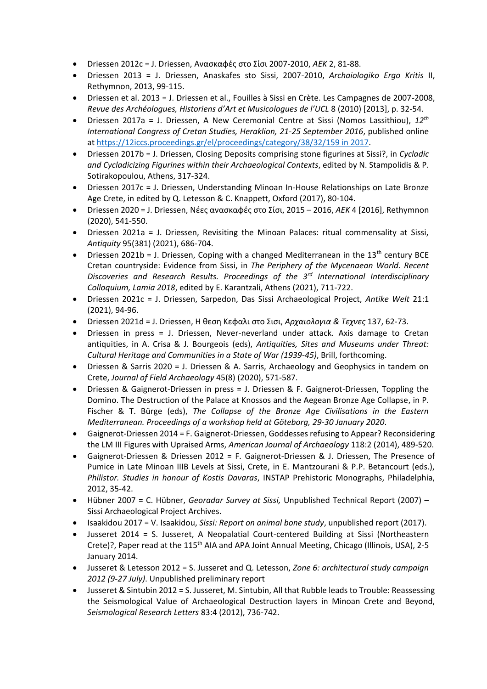- Driessen 2012c = J. Driessen, Ανασκαφές στο Σίσι 2007-2010, *AEK* 2, 81-88.
- Driessen 2013 = J. Driessen, Anaskafes sto Sissi, 2007-2010, *Archaiologiko Ergo Kritis* II, Rethymnon, 2013, 99-115.
- Driessen et al. 2013 = J. Driessen et al., Fouilles à Sissi en Crète. Les Campagnes de 2007-2008, *Revue des Archéologues, Historiens d'Art et Musicologues de l'UCL* 8 (2010) [2013], p. 32-54.
- Driessen 2017a = J. Driessen, A New Ceremonial Centre at Sissi (Nomos Lassithiou), *12th International Congress of Cretan Studies, Heraklion, 21-25 September 2016*, published online at [https://12iccs.proceedings.gr/el/proceedings/category/38/32/159](https://12iccs.proceedings.gr/el/proceedings/category/38/32/159%20in%202017) in 2017.
- Driessen 2017b = J. Driessen, Closing Deposits comprising stone figurines at Sissi?, in *Cycladic and Cycladicizing Figurines within their Archaeological Contexts*, edited by N. Stampolidis & P. Sotirakopoulou, Athens, 317-324.
- Driessen 2017c = J. Driessen, Understanding Minoan In-House Relationships on Late Bronze Age Crete, in edited by Q. Letesson & C. Knappett, Oxford (2017), 80-104.
- Driessen 2020 = J. Driessen, Νέες ανασκαφές στο Σίσι, 2015 2016, *AEK* 4 [2016], Rethymnon (2020), 541-550.
- Driessen 2021a = J. Driessen, Revisiting the Minoan Palaces: ritual commensality at Sissi, *Antiquity* 95(381) (2021), 686-704.
- Driessen 2021b = J. Driessen, Coping with a changed Mediterranean in the  $13<sup>th</sup>$  century BCE Cretan countryside: Evidence from Sissi, in *The Periphery of the Mycenaean World. Recent Discoveries and Research Results. Proceedings of the 3rd International Interdisciplinary Colloquium, Lamia 2018*, edited by E. Karantzali, Athens (2021), 711-722.
- Driessen 2021c = J. Driessen, Sarpedon, Das Sissi Archaeological Project, *Antike Welt* 21:1 (2021), 94-96.
- Driessen 2021d = J. Driessen, Η θεση Κεφαλι στο Σισι, *Αρχαιολογια & Τεχνες* 137, 62-73.
- Driessen in press = J. Driessen, Never-neverland under attack. Axis damage to Cretan antiquities, in A. Crisa & J. Bourgeois (eds), *Antiquities, Sites and Museums under Threat: Cultural Heritage and Communities in a State of War (1939-45)*, Brill, forthcoming.
- Driessen & Sarris 2020 = J. Driessen & A. Sarris, Archaeology and Geophysics in tandem on Crete, *Journal of Field Archaeology* 45(8) (2020), 571-587.
- Driessen & Gaignerot-Driessen in press = J. Driessen & F. Gaignerot-Driessen, Toppling the Domino. The Destruction of the Palace at Knossos and the Aegean Bronze Age Collapse, in P. Fischer & T. Bürge (eds), *The Collapse of the Bronze Age Civilisations in the Eastern Mediterranean. Proceedings of a workshop held at Göteborg, 29-30 January 2020*.
- Gaignerot-Driessen 2014 = F. Gaignerot-Driessen, Goddesses refusing to Appear? Reconsidering the LM III Figures with Upraised Arms, *American Journal of Archaeology* 118:2 (2014), 489-520.
- Gaignerot-Driessen & Driessen 2012 = F. Gaignerot-Driessen & J. Driessen, The Presence of Pumice in Late Minoan IIIB Levels at Sissi, Crete, in E. Mantzourani & P.P. Betancourt (eds.), *Philistor. Studies in honour of Kostis Davaras*, INSTAP Prehistoric Monographs, Philadelphia, 2012, 35-42.
- Hübner 2007 = C. Hübner, *Georadar Survey at Sissi,* Unpublished Technical Report (2007) Sissi Archaeological Project Archives.
- Isaakidou 2017 = V. Isaakidou, *Sissi: Report on animal bone study*, unpublished report (2017).
- Jusseret 2014 = S. Jusseret, A Neopalatial Court-centered Building at Sissi (Northeastern Crete)?, Paper read at the 115<sup>th</sup> AIA and APA Joint Annual Meeting, Chicago (Illinois, USA), 2-5 January 2014.
- Jusseret & Letesson 2012 = S. Jusseret and Q. Letesson, *Zone 6: architectural study campaign 2012 (9-27 July)*. Unpublished preliminary report
- Jusseret & Sintubin 2012 = S. Jusseret, M. Sintubin, All that Rubble leads to Trouble: Reassessing the Seismological Value of Archaeological Destruction layers in Minoan Crete and Beyond, *Seismological Research Letters* 83:4 (2012), 736-742.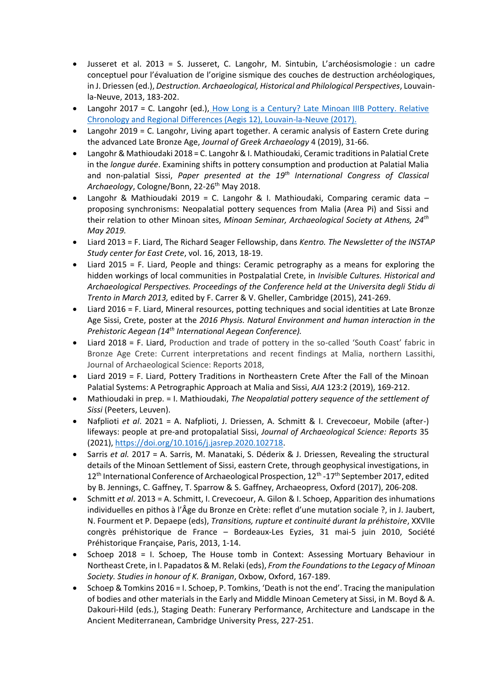- Jusseret et al. 2013 = S. Jusseret, C. Langohr, M. Sintubin, L'archéosismologie : un cadre conceptuel pour l'évaluation de l'origine sismique des couches de destruction archéologiques, in J. Driessen (ed.), *Destruction. Archaeological, Historical and Philological Perspectives*, Louvainla-Neuve, 2013, 183-202.
- Langohr 2017 = C. Langohr (ed.), How Long is a Century? Late Minoan IIIB Pottery. Relative [Chronology and Regional Differences \(Aegis 12\), Louvain-la-Neuve \(2017\).](https://www.academia.edu/35519765/C._Langohr_The_Late_Minoan_IIIB_Phase_on_Crete._The_State_of_Play_and_Future_Perspectives_in_C._Langohr_ed._How_Long_is_a_Century_Late_Minoan_IIIB_Pottery._Relative_Chronology_and_Regional_Differences_Aegis_12_Louvain-la-Neuve_2017_11-35)
- Langohr 2019 = C. Langohr, Living apart together. A ceramic analysis of Eastern Crete during the advanced Late Bronze Age, *Journal of Greek Archaeology* 4 (2019), 31-66.
- Langohr & Mathioudaki 2018 = C. Langohr & I. Mathioudaki, Ceramic traditions in Palatial Crete in the *longue durée*. Examining shifts in pottery consumption and production at Palatial Malia and non-palatial Sissi, *Paper presented at the 19th International Congress of Classical*  Archaeology, Cologne/Bonn, 22-26<sup>th</sup> May 2018.
- Langohr & Mathioudaki 2019 = C. Langohr & I. Mathioudaki, Comparing ceramic data proposing synchronisms: Neopalatial pottery sequences from Malia (Area Pi) and Sissi and their relation to other Minoan sites, *Minoan Seminar, Archaeological Society at Athens, 24th May 2019.*
- Liard 2013 = F. Liard, The Richard Seager Fellowship, dans *Kentro. The Newsletter of the INSTAP Study center for East Crete*, vol. 16, 2013, 18-19.
- Liard 2015 = F. Liard, People and things: Ceramic petrography as a means for exploring the hidden workings of local communities in Postpalatial Crete, in *Invisible Cultures. Historical and Archaeological Perspectives. Proceedings of the Conference held at the Universita degli Stidu di Trento in March 2013,* edited by F. Carrer & V. Gheller, Cambridge (2015), 241-269.
- Liard 2016 = F. Liard, Mineral resources, potting techniques and social identities at Late Bronze Age Sissi, Crete, poster at the *2016 Physis. Natural Environment and human interaction in the Prehistoric Aegean (14th International Aegean Conference).*
- Liard 2018 = F. Liard, Production and trade of pottery in the so-called 'South Coast' fabric in Bronze Age Crete: Current interpretations and recent findings at Malia, northern Lassithi, Journal of Archaeological Science: Reports 2018,
- Liard 2019 = F. Liard, Pottery Traditions in Northeastern Crete After the Fall of the Minoan Palatial Systems: A Petrographic Approach at Malia and Sissi, *AJA* 123:2 (2019), 169-212.
- Mathioudaki in prep. = I. Mathioudaki, *The Neopalatial pottery sequence of the settlement of Sissi* (Peeters, Leuven).
- Nafplioti *et al*. 2021 = A. Nafplioti, J. Driessen, A. Schmitt & I. Crevecoeur, Mobile (after-) lifeways: people at pre-and protopalatial Sissi, *Journal of Archaeological Science: Reports* 35 (2021), [https://doi.org/10.1016/j.jasrep.2020.102718.](https://doi.org/10.1016/j.jasrep.2020.102718)
- Sarris *et al.* 2017 = A. Sarris, M. Manataki, S. Déderix & J. Driessen, Revealing the structural details of the Minoan Settlement of Sissi, eastern Crete, through geophysical investigations, in 12<sup>th</sup> International Conference of Archaeological Prospection, 12<sup>th</sup> -17<sup>th</sup> September 2017, edited by B. Jennings, C. Gaffney, T. Sparrow & S. Gaffney, Archaeopress, Oxford (2017), 206-208.
- Schmitt *et al*. 2013 = A. Schmitt, I. Crevecoeur, A. Gilon & I. Schoep, Apparition des inhumations individuelles en pithos à l'Âge du Bronze en Crète: reflet d'une mutation sociale ?, in J. Jaubert, N. Fourment et P. Depaepe (eds), *Transitions, rupture et continuité durant la préhistoire*, XXVIIe congrès préhistorique de France – Bordeaux-Les Eyzies, 31 mai-5 juin 2010, Société Préhistorique Française, Paris, 2013, 1-14.
- Schoep 2018 = I. Schoep, The House tomb in Context: Assessing Mortuary Behaviour in Northeast Crete, in I. Papadatos & M. Relaki (eds), *From the Foundationsto the Legacy of Minoan Society. Studies in honour of K. Branigan*, Oxbow, Oxford, 167-189.
- Schoep & Tomkins 2016 = I. Schoep, P. Tomkins, 'Death is not the end'. Tracing the manipulation of bodies and other materials in the Early and Middle Minoan Cemetery at Sissi, in M. Boyd & A. Dakouri-Hild (eds.), Staging Death: Funerary Performance, Architecture and Landscape in the Ancient Mediterranean, Cambridge University Press, 227-251.